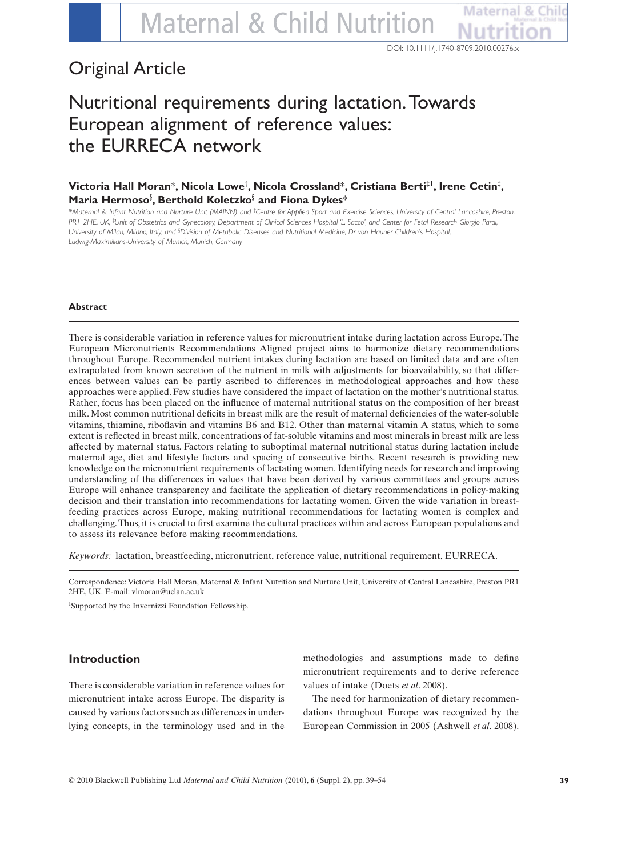## Original Article

# Nutritional requirements during lactation.Towards European alignment of reference values: the EURRECA network

 $\bm{V}$ ictoria Hall Moran\*, Nicola Lowe $^\dagger$ , Nicola Crossland\*, Cristiana Berti $^{\ddagger}$ l, Irene Cetin $^{\ddagger}$ , **Maria Hermoso**§ **, Berthold Koletzko**§ **and Fiona Dykes**\*

\**Maternal & Infant Nutrition and Nurture Unit (MAINN) and* † *Centre for Applied Sport and Exercise Sciences, University of Central Lancashire, Preston, PR1 2HE, UK,* ‡ *Unit of Obstetrics and Gynecology, Department of Clinical Sciences Hospital 'L. Sacco', and Center for Fetal Research Giorgio Pardi,* University of Milan, Milano, Italy, and <sup>§</sup>Division of Metabolic Diseases and Nutritional Medicine, Dr von Hauner Children's Hospital, *Ludwig-Maximilians-University of Munich, Munich, Germany*

#### **Abstract**

There is considerable variation in reference values for micronutrient intake during lactation across Europe. The European Micronutrients Recommendations Aligned project aims to harmonize dietary recommendations throughout Europe. Recommended nutrient intakes during lactation are based on limited data and are often extrapolated from known secretion of the nutrient in milk with adjustments for bioavailability, so that differences between values can be partly ascribed to differences in methodological approaches and how these approaches were applied. Few studies have considered the impact of lactation on the mother's nutritional status. Rather, focus has been placed on the influence of maternal nutritional status on the composition of her breast milk. Most common nutritional deficits in breast milk are the result of maternal deficiencies of the water-soluble vitamins, thiamine, riboflavin and vitamins B6 and B12. Other than maternal vitamin A status, which to some extent is reflected in breast milk, concentrations of fat-soluble vitamins and most minerals in breast milk are less affected by maternal status. Factors relating to suboptimal maternal nutritional status during lactation include maternal age, diet and lifestyle factors and spacing of consecutive births. Recent research is providing new knowledge on the micronutrient requirements of lactating women. Identifying needs for research and improving understanding of the differences in values that have been derived by various committees and groups across Europe will enhance transparency and facilitate the application of dietary recommendations in policy-making decision and their translation into recommendations for lactating women. Given the wide variation in breastfeeding practices across Europe, making nutritional recommendations for lactating women is complex and challenging. Thus, it is crucial to first examine the cultural practices within and across European populations and to assess its relevance before making recommendations.

*Keywords:* lactation, breastfeeding, micronutrient, reference value, nutritional requirement, EURRECA.

Correspondence: Victoria Hall Moran, Maternal & Infant Nutrition and Nurture Unit, University of Central Lancashire, Preston PR1 2HE, UK. E-mail: vlmoran@uclan.ac.uk

1 Supported by the Invernizzi Foundation Fellowship.

## **Introduction**

There is considerable variation in reference values for micronutrient intake across Europe. The disparity is caused by various factors such as differences in underlying concepts, in the terminology used and in the methodologies and assumptions made to define micronutrient requirements and to derive reference values of intake (Doets *et al*. 2008).

The need for harmonization of dietary recommendations throughout Europe was recognized by the European Commission in 2005 (Ashwell *et al*. 2008).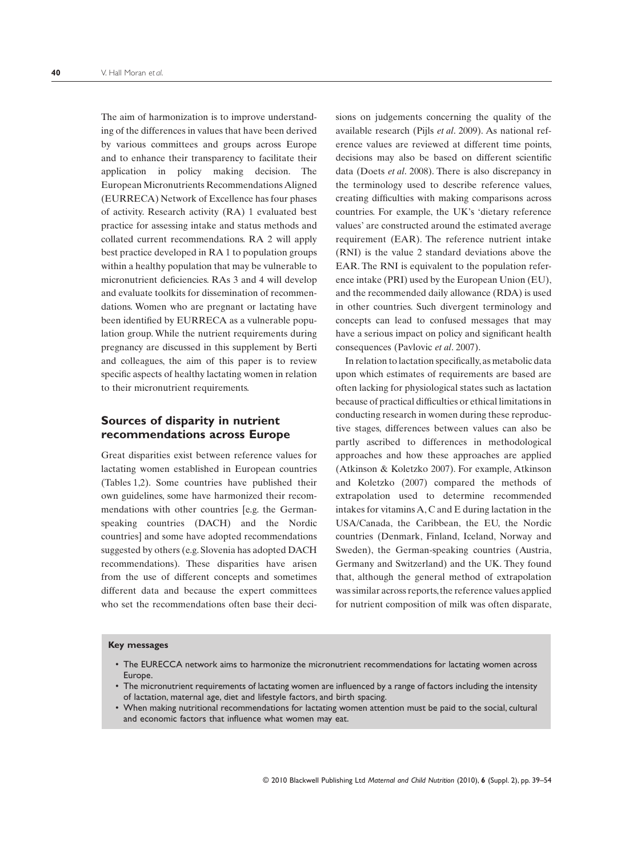The aim of harmonization is to improve understanding of the differences in values that have been derived by various committees and groups across Europe and to enhance their transparency to facilitate their application in policy making decision. The European Micronutrients Recommendations Aligned (EURRECA) Network of Excellence has four phases of activity. Research activity (RA) 1 evaluated best practice for assessing intake and status methods and collated current recommendations. RA 2 will apply best practice developed in RA 1 to population groups within a healthy population that may be vulnerable to micronutrient deficiencies. RAs 3 and 4 will develop and evaluate toolkits for dissemination of recommendations. Women who are pregnant or lactating have been identified by EURRECA as a vulnerable population group. While the nutrient requirements during pregnancy are discussed in this supplement by Berti and colleagues, the aim of this paper is to review specific aspects of healthy lactating women in relation to their micronutrient requirements.

## **Sources of disparity in nutrient recommendations across Europe**

Great disparities exist between reference values for lactating women established in European countries (Tables 1,2). Some countries have published their own guidelines, some have harmonized their recommendations with other countries [e.g. the Germanspeaking countries (DACH) and the Nordic countries] and some have adopted recommendations suggested by others (e.g. Slovenia has adopted DACH recommendations). These disparities have arisen from the use of different concepts and sometimes different data and because the expert committees who set the recommendations often base their decisions on judgements concerning the quality of the available research (Pijls *et al*. 2009). As national reference values are reviewed at different time points, decisions may also be based on different scientific data (Doets *et al*. 2008). There is also discrepancy in the terminology used to describe reference values, creating difficulties with making comparisons across countries. For example, the UK's 'dietary reference values' are constructed around the estimated average requirement (EAR). The reference nutrient intake (RNI) is the value 2 standard deviations above the EAR. The RNI is equivalent to the population reference intake (PRI) used by the European Union (EU), and the recommended daily allowance (RDA) is used in other countries. Such divergent terminology and concepts can lead to confused messages that may have a serious impact on policy and significant health consequences (Pavlovic *et al*. 2007).

In relation to lactation specifically,as metabolic data upon which estimates of requirements are based are often lacking for physiological states such as lactation because of practical difficulties or ethical limitations in conducting research in women during these reproductive stages, differences between values can also be partly ascribed to differences in methodological approaches and how these approaches are applied (Atkinson & Koletzko 2007). For example, Atkinson and Koletzko (2007) compared the methods of extrapolation used to determine recommended intakes for vitamins A, C and E during lactation in the USA/Canada, the Caribbean, the EU, the Nordic countries (Denmark, Finland, Iceland, Norway and Sweden), the German-speaking countries (Austria, Germany and Switzerland) and the UK. They found that, although the general method of extrapolation was similar across reports, the reference values applied for nutrient composition of milk was often disparate,

#### **Key messages**

- The EURECCA network aims to harmonize the micronutrient recommendations for lactating women across Europe.
- The micronutrient requirements of lactating women are influenced by a range of factors including the intensity of lactation, maternal age, diet and lifestyle factors, and birth spacing.
- When making nutritional recommendations for lactating women attention must be paid to the social, cultural and economic factors that influence what women may eat.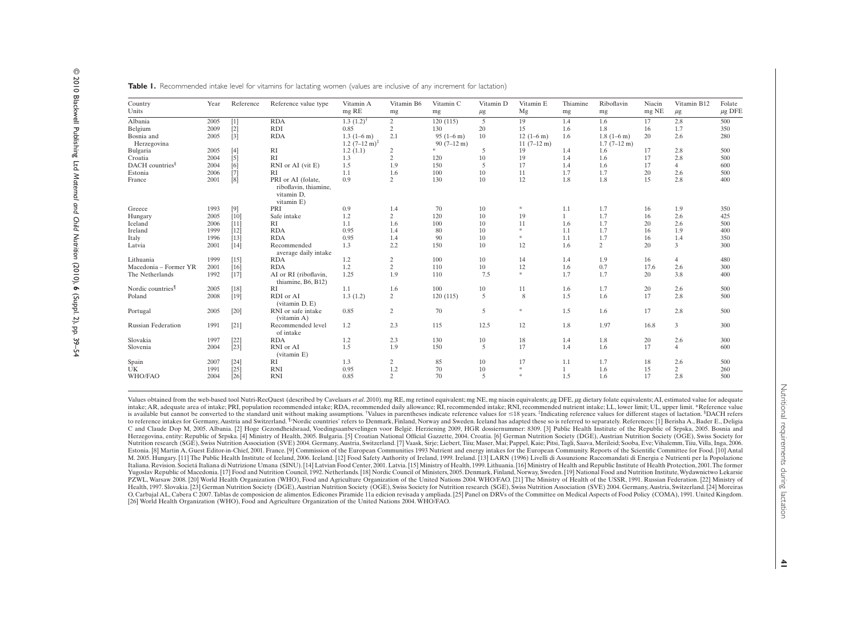| Country<br>Units              | Year | Reference                              | Reference value type                                                    | Vitamin A<br>mg RE                         | Vitamin B6<br>mg | Vitamin C<br>mg                    | Vitamin D<br>$\mu$ g | Vitamin E<br>Mg                   | Thiamine<br>mg | Riboflavin<br>mg                | Niacin<br>mg NE | Vitamin B12<br>$\mu$ g | Folate<br>$\mu$ g DFE |
|-------------------------------|------|----------------------------------------|-------------------------------------------------------------------------|--------------------------------------------|------------------|------------------------------------|----------------------|-----------------------------------|----------------|---------------------------------|-----------------|------------------------|-----------------------|
| Albania                       | 2005 | $[1]$                                  | <b>RDA</b>                                                              | $1.3(1.2)^{\dagger}$                       | 2                | 120(115)                           | 5                    | 19                                | 1.4            | 1.6                             | 17              | 2.8                    | 500                   |
| Belgium                       | 2009 |                                        | <b>RDI</b>                                                              | 0.85                                       | 2                | 130                                | 20                   | 15                                | 1.6            | 1.8                             | 16              | 1.7                    | 350                   |
| Bosnia and<br>Herzegovina     | 2005 | $\begin{bmatrix} 2 \\ 3 \end{bmatrix}$ | <b>RDA</b>                                                              | $1.3(1-6m)$<br>$1.2$ (7–12 m) <sup>‡</sup> | 2.1              | $95(1-6m)$<br>$90(7-12 \text{ m})$ | 10                   | $12(1-6m)$<br>$11 (7 - 12 m)$     | 1.6            | $1.8(1-6m)$<br>$1.7 (7 - 12 m)$ | 20              | 2.6                    | 280                   |
| Bulgaria                      | 2005 | $[4]$                                  | <b>RI</b>                                                               | 1.2(1.1)                                   | 2                | $\mathcal{G}_\mathcal{C}$          | 5                    | 19                                | 1.4            | 1.6                             | 17              | 2.8                    | 500                   |
| Croatia                       | 2004 | [5]                                    | <b>RI</b>                                                               | 1.3                                        | 2                | 120                                | 10                   | 19                                | 1.4            | 1.6                             | 17              | 2.8                    | 500                   |
| DACH countries <sup>§</sup>   | 2004 | [6]                                    | RNI or AI (vit E)                                                       | 1.5                                        | 1.9              | 150                                | 5                    | 17                                | 1.4            | 1.6                             | 17              | $\overline{4}$         | 600                   |
| Estonia                       | 2006 | $[7]$                                  | <b>RI</b>                                                               | 1.1                                        | 1.6              | 100                                | 10                   | 11                                | 1.7            | 1.7                             | 20              | 2.6                    | 500                   |
| France                        | 2001 | [8]                                    | PRI or AI (folate,<br>riboflavin, thiamine.<br>vitamin D,<br>vitamin E) | 0.9                                        | 2                | 130                                | 10                   | 12                                | 1.8            | 1.8                             | 15              | 2.8                    | 400                   |
| Greece                        | 1993 | $[9]$                                  | PRI                                                                     | 0.9                                        | 1.4              | 70                                 | 10                   | 永                                 | 1.1            | 1.7                             | 16              | 1.9                    | 350                   |
| Hungary                       | 2005 | [10]                                   | Safe intake                                                             | 1.2                                        | $\overline{2}$   | 120                                | 10                   | 19                                | $\mathbf{1}$   | 1.7                             | 16              | 2.6                    | 425                   |
| Iceland                       | 2006 | $[11]$                                 | RI                                                                      | 1.1                                        | 1.6              | 100                                | 10                   | 11                                | 1.6            | 1.7                             | 20              | 2.6                    | 500                   |
| Ireland                       | 1999 | $[12]$                                 | <b>RDA</b>                                                              | 0.95                                       | 1.4              | 80                                 | 10                   | $\frac{d\mathbf{y}}{d\mathbf{x}}$ | 1.1            | 1.7                             | 16              | 1.9                    | 400                   |
| Italy                         | 1996 | $[13]$                                 | <b>RDA</b>                                                              | 0.95                                       | 1.4              | 90                                 | 10                   | 永                                 | 1.1            | 1.7                             | 16              | 1.4                    | 350                   |
| Latvia                        | 2001 | $[14]$                                 | Recommended<br>average daily intake                                     | 1.3                                        | 2.2              | 150                                | 10                   | 12                                | 1.6            | 2                               | 20              | 3                      | 300                   |
| Lithuania                     | 1999 | $[15]$                                 | <b>RDA</b>                                                              | 1.2                                        | $\sqrt{2}$       | 100                                | 10                   | 14                                | 1.4            | 1.9                             | 16              | $\overline{4}$         | 480                   |
| Macedonia - Former YR         | 2001 | $[16]$                                 | <b>RDA</b>                                                              | 1.2                                        | $\mathbf{2}$     | 110                                | 10                   | 12                                | 1.6            | 0.7                             | 17.6            | 2.6                    | 300                   |
| The Netherlands               | 1992 | [17]                                   | AI or RI (riboflavin,<br>thiamine, B6, B12)                             | 1.25                                       | 1.9              | 110                                | 7.5                  | *                                 | 1.7            | 1.7                             | 20              | 3.8                    | 400                   |
| Nordic countries <sup>1</sup> | 2005 | $[18]$                                 | <b>RI</b>                                                               | 1.1                                        | 1.6              | 100                                | 10                   | 11                                | 1.6            | 1.7                             | 20              | 2.6                    | 500                   |
| Poland                        | 2008 | [19]                                   | RDI or AI<br>(vitamin D, E)                                             | 1.3(1.2)                                   | 2                | 120(115)                           | 5                    | 8                                 | 1.5            | 1.6                             | 17              | 2.8                    | 500                   |
| Portugal                      | 2005 | $[20]$                                 | RNI or safe intake<br>(vitamin A)                                       | 0.85                                       | 2                | 70                                 | 5                    | *                                 | 1.5            | 1.6                             | 17              | 2.8                    | 500                   |
| <b>Russian Federation</b>     | 1991 | $[21]$                                 | Recommended level<br>of intake                                          | 1.2                                        | 2.3              | 115                                | 12.5                 | 12                                | 1.8            | 1.97                            | 16.8            | 3                      | 300                   |
| Slovakia                      | 1997 | $[22]$                                 | <b>RDA</b>                                                              | 1.2                                        | 2.3              | 130                                | 10                   | 18                                | 1.4            | 1.8                             | 20              | 2.6                    | 300                   |
| Slovenia                      | 2004 | $[23]$                                 | RNI or AI<br>(vitamin E)                                                | 1.5                                        | 1.9              | 150                                | 5                    | 17                                | 1.4            | 1.6                             | 17              | $\overline{4}$         | 600                   |
| Spain                         | 2007 | $[24]$                                 | RI                                                                      | 1.3                                        | 2                | 85                                 | 10                   | 17                                | 1.1            | 1.7                             | 18              | 2.6                    | 500                   |
| UK                            | 1991 | $\left[25\right]$                      | <b>RNI</b>                                                              | 0.95                                       | 1.2              | 70                                 | 10                   | $\mathcal{H}$                     | $\mathbf{1}$   | 1.6                             | 15              | $\overline{c}$         | 260                   |
| WHO/FAO                       | 2004 | $[26]$                                 | <b>RNI</b>                                                              | 0.85                                       | $\overline{c}$   | 70                                 | 5                    | $\mathcal{G}$                     | 1.5            | 1.6                             | 17              | 2.8                    | 500                   |

**Table 1.** Recommended intake level for vitamins for lactating women (values are inclusive of any increment for lactation)

Values obtained from the web-based tool Nutri-RecQuest (described by Cavelaars et al. 2010). mg RE, mg retinol equivalent; mg NE, mg nacin equivalents; µg DFE, µg dietary folate equivalents; AI, estimated value for adequat intake; AR, adequate area of intake; PRI, population recommended intake; RDA, recommended daily allowance; RI, recommended intake; RNI, recommended nutrient intake; LL, lower limit; UL, upper limit. \*Reference value is available but cannot be converted to the standard unit without making assumptions. Values in parentheses indicate reference values for  $\leq 18$  years. <sup>\$</sup>Indicating reference values for different stages of lactation. <sup></sup> to reference intakes for Germany, Austria and Switzerland. <sup>¶</sup>'Nordic countries' refers to Denmark, Finland, Norway and Sweden. Iceland has adapted these so is referred to separately. References: [1] Berisha A., Bader E., C and Claude Dop M, 2005. Albania. [2] Hoge Gezondheidsraad, Voedingsaanbevelingen voor België. Herziening 2009, HGR dossiernummer: 8309. [3] Public Health Institute of the Republic of Srpska, 2005. Bosnia and Herzegovina, entity: Republic of Srpska. [4] Ministry of Health, 2005. Bulgaria. [5] Croatian National Official Gazzette, 2004. Croatia. [6] German Nutrition Society (DGE), Austrian Nutrition Society (OGE), Swiss Society f Nutrition research (SGE), Swiss Nutrition Association (SVE) 2004. Germany, Austria, Switzerland. [7] Vaask, Sirje; Liebert, Tiiu; Maser, Mai; Pappel, Kaie; Pitsi, Tagli, Saava, Merileid; Sooba, Eve; Vihalemm, Tiiu, Villa, Estonia. [8] Martin A, Guest Editor-in-Chief, 2001. France. [9] Commission of the European Communities 1993 Nutrient and energy intakes for the European Community. Reports of the Scientific Committee for Food. [10] Antal M. 2005. Hungary. [11] The Public Health Institute of Iceland, 2006. Iceland, [12] Food Safety Authority of Ireland, 1999. Ireland, 1996. Ireland, 1996 Livelli di Assunzione Raccomandati di Energia e Nutrienti per la Popol Italiana. Revision. Societá Italiana di Nutrizione Umana (SINU). [14] Latvian Food Center, 2001. Latvia. [15] Ministry of Health, 1999. Lithuania. [16] Ministry of Health and Republic Institute of Health Protection, 2001. Yugoslav Republic of Macedonia. [17] Food and Nutrition Council, 1992. Netherlands. [18] Nordic Council of Ministers, 2005. Denmark, Finland, Norway, Sweden. [19] National Food and Nutrition Institute,Wydawnictwo Lekarsie PZWL, Warsaw 2008. [20] World Health Organization (WHO), Food and Agriculture Organization of the United Nations 2004. WHO/FAO. [21] The Ministry of Health of the USSR, 1991. Russian Federation. [22] Ministry of Health, 1997. Slovakia. [23] German Nutrition Society (DGE),Austrian Nutrition Society (OGE), Swiss Society for Nutrition research (SGE), Swiss Nutrition Association (SVE) 2004. Germany,Austria, Switzerland. [24] Moreiras O, Carbajal AL, Cabera C 2007.Tablas de composicion de alimentos. Edicones Piramide 11a edicion revisada y ampliada. [25] Panel on DRVs of the Committee on Medical Aspects of Food Policy (COMA), 1991. United Kingdom. [26] World Health Organization (WHO), Food and Agriculture Organization of the United Nations 2004. WHO/FAO.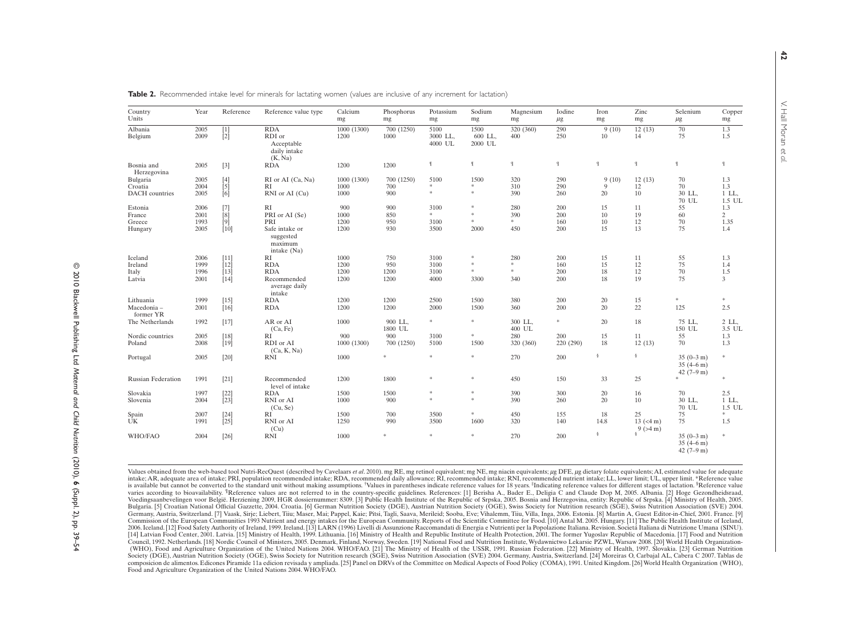| Country<br>Units          | Year | Reference                                | Reference value type                                  | Calcium<br>mg | Phosphorus<br>mg   | Potassium<br>mg                   | Sodium<br>mg                      | Magnesium<br>mg                   | Iodine<br>$\mu\mathrm{g}$ | Iron<br>mg    | Zinc<br>mg                   | Selenium<br>$\mu\mathrm{g}$               | Copper<br>$\rm mg$ |
|---------------------------|------|------------------------------------------|-------------------------------------------------------|---------------|--------------------|-----------------------------------|-----------------------------------|-----------------------------------|---------------------------|---------------|------------------------------|-------------------------------------------|--------------------|
| Albania                   | 2005 |                                          | <b>RDA</b>                                            | 1000 (1300)   | 700 (1250)         | 5100                              | 1500                              | 320 (360)                         | 290                       | 9(10)         | 12(13)                       | 70                                        | 1.3                |
| Belgium                   | 2009 | $[1]$<br>$\overline{2}$                  | RDI or<br>Acceptable<br>daily intake<br>(K, Na)       | 1200          | 1000               | 3000 LL,<br>4000 UL               | 600 LL,<br>2000 UL                | 400                               | 250                       | 10            | 14                           | 75                                        | $1.5\,$            |
| Bosnia and<br>Herzegovina | 2005 | $[3]$                                    | <b>RDA</b>                                            | 1200          | 1200               | $\mathbb{I}$                      | $\mathbb{I}$                      | $\mathbb{I}$                      | $\mathbb{I}$              | $\mathbb{I}$  | $\mathbb{I}$                 | $\mathcal{F}$                             | $\mathbb{I}$       |
| Bulgaria                  | 2005 | $[4]$                                    | RI or AI (Ca, Na)                                     | 1000 (1300)   | 700 (1250)         | 5100                              | 1500                              | 320                               | 290                       | 9(10)         | 12(13)                       | 70                                        | 1.3                |
| Croatia                   | 2004 | $\left[5\right]$                         | RI                                                    | 1000          | 700                | sk.                               | ×.                                | 310                               | 290                       | 9             | 12                           | 70                                        | 1.3                |
| DACH countries            | 2005 | [6]                                      | RNI or AI (Cu)                                        | 1000          | 900                | $\mathcal{R}$                     | 永                                 | 390                               | 260                       | 20            | 10                           | 30 LL,<br>70 UL                           | 1 LL,<br>1.5 UL    |
| Estonia                   | 2006 | $[7]$                                    | RI                                                    | 900           | 900                | 3100                              | $\mathcal{G}$                     | 280                               | 200                       | 15            | 11                           | 55                                        | 1.3                |
| France                    | 2001 | $\left[8\right]$                         | PRI or AI (Se)                                        | 1000          | 850                | $\gg$                             | *                                 | 390                               | 200                       | 10            | 19                           | 60                                        | $\overline{2}$     |
| Greece                    | 1993 | [9]                                      | PRI                                                   | 1200          | 950                | 3100                              | *                                 | $\frac{d\mathbf{r}}{d\mathbf{r}}$ | 160                       | 10            | 12                           | 70                                        | 1.35               |
| Hungary                   | 2005 | [10]                                     | Safe intake or<br>suggested<br>maximum<br>intake (Na) | 1200          | 930                | 3500                              | 2000                              | 450                               | 200                       | 15            | 13                           | 75                                        | 1.4                |
| Iceland                   | 2006 | $[11]$                                   | RI                                                    | 1000          | 750                | 3100                              | *                                 | 280                               | 200                       | 15            | 11                           | 55                                        | 1.3                |
| Ireland                   | 1999 | [12]                                     | <b>RDA</b>                                            | 1200          | 950                | 3100                              | ×.                                | $\gg$                             | 160                       | 15            | 12                           | 75                                        | 1.4                |
| Italy                     | 1996 | $\left[13\right]$                        | <b>RDA</b>                                            | 1200          | 1200               | 3100                              | $\frac{d\mathbf{r}}{d\mathbf{r}}$ | ÷.                                | 200                       | 18            | 12                           | 70                                        | 1.5                |
| Latvia                    | 2001 | $\left[14\right]$                        | Recommended<br>average daily<br>intake                | 1200          | 1200               | 4000                              | 3300                              | 340                               | 200                       | 18            | 19                           | 75                                        | 3                  |
| Lithuania                 | 1999 | $[15]$                                   | <b>RDA</b>                                            | 1200          | 1200               | 2500                              | 1500                              | 380                               | 200                       | 20            | 15                           | $\frac{d\mathbf{r}}{d\mathbf{r}}$         | ÷.                 |
| Macedonia-<br>former YR   | 2001 | [16]                                     | <b>RDA</b>                                            | 1200          | 1200               | 2000                              | 1500                              | 360                               | 200                       | 20            | 22                           | 125                                       | 2.5                |
| The Netherlands           | 1992 | $[17]$                                   | AR or AI<br>(Ca, Fe)                                  | 1000          | 900 LL,<br>1800 UL | $\frac{d\mathbf{r}}{d\mathbf{r}}$ | $\mathcal{G}$                     | 300 LL.<br>400 UL                 | *.                        | 20            | 18                           | 75 LL,<br>150 UL                          | 2 LL,<br>3.5 UL    |
| Nordic countries          | 2005 | $[18]$                                   | RI                                                    | 900           | 900                | 3100                              | *                                 | 280                               | 200                       | 15            | 11                           | 55                                        | 1.3                |
| Poland                    | 2008 | [19]                                     | RDI or AI<br>(Ca, K, Na)                              | 1000 (1300)   | 700 (1250)         | 5100                              | 1500                              | 320 (360)                         | 220 (290)                 | 18            | 12(13)                       | 70                                        | 1.3                |
| Portugal                  | 2005 | $[20]$                                   | RNI                                                   | 1000          | 家                  | $\frac{d\mathbf{r}}{d\mathbf{r}}$ | $\frac{d\mathbf{r}}{d\mathbf{r}}$ | 270                               | 200                       | $\frac{8}{3}$ | $\S$                         | $35(0-3m)$<br>$35(4-6m)$<br>42 $(7-9)$ m) | ÷.                 |
| <b>Russian Federation</b> | 1991 | $[21]$                                   | Recommended<br>level of intake                        | 1200          | 1800               | $\frac{d\mathbf{r}}{d\mathbf{r}}$ | $\frac{d\mathbf{r}}{d\mathbf{r}}$ | 450                               | 150                       | 33            | 25                           | $\mathcal{U}$                             | $\gg$              |
| Slovakia                  | 1997 |                                          | <b>RDA</b>                                            | 1500          | 1500               | $\frac{d\mathbf{r}}{d\mathbf{r}}$ | $\frac{d\mathbf{r}}{d\mathbf{r}}$ | 390                               | 300                       | 20            | 16                           | 70                                        | 2.5                |
| Slovenia                  | 2004 | $\begin{bmatrix} 22 \\ 23 \end{bmatrix}$ | RNI or AI<br>(Cu, Se)                                 | 1000          | 900                | $\mathcal{R}$                     | s).                               | 390                               | 260                       | 20            | 10                           | 30 LL.<br>70 UL                           | 1 LL.<br>1.5 UL    |
| Spain                     | 2007 | $[24]$                                   | <b>RI</b>                                             | 1500          | 700                | 3500                              | *                                 | 450                               | 155                       | 18            | 25                           | 75                                        | ÷.                 |
| UK                        | 1991 | $\left[25\right]$                        | RNI or AI<br>(Cu)                                     | 1250          | 990                | 3500                              | 1600                              | 320                               | 140                       | 14.8          | $13$ (<4 m)<br>$9$ ( $>4$ m) | 75                                        | 1.5                |
| WHO/FAO                   | 2004 | $[26]$                                   | <b>RNI</b>                                            | 1000          | $\mathcal{G}$      | $\mathcal{R}$                     | ×.                                | 270                               | 200                       | ş             | $\frac{8}{3}$                | $35(0-3m)$<br>$35(4-6m)$<br>42 $(7-9m)$   | ż.                 |

**Table 2.** Recommended intake level for minerals for lactating women (values are inclusive of any increment for lactation)

Values obtained from the web-based tool Nutri-RecOuest (described by Cavelaars et al. 2010), me RE, me retinol equivalent; me NE, me niacin equivalents; ug DFE, ug dietary folate equivalents; AI, estimated value for adequa intake; AR, adequate area of intake; PRI, population recommended intake; RDA, recommended daily allowance; RI, recommended intake; RNI, recommended nutrient intake; LL, lower limit; UL, upper limit. \*Reference value is available but cannot be converted to the standard unit without making assumptions. Values in parentheses indicate reference values for 18 years. <sup>\$</sup>Indicating reference values for different stages of lactation. <sup>\$</sup>Refer varies according to bioavailability. <sup>¶</sup>Reference values are not referred to in the country-specific guidelines. References: [1] Berisha A., Bader E., Deligia C and Claude Dop M, 2005. Albania. [2] Hoge Gezondheidsraad, Voedingsaanbevelingen voor België. Herziening 2009, HGR dossiernummer: 8309. [3] Public Health Institute of the Republic of Srpska, 2005. Bosnia and Herzegovina, entity: Republic of Srpska. [4] Ministry of Health, 2005. Bo Bulgaria. [5] Croatian National Official Gazzette, 2004. Croatia. [6] German Nutrition Society (DGE), Austrian Nutrition Society (OGE), Swiss Society for Nutrition research (SGE), Swiss Nutrition Association (SVE) 2004. Germany, Austria, Switzerland. [7] Vaask, Sirje; Liebert, Tiju; Maser, Mai; Pappel, Kaie; Pitsi, Tagli, Saava, Merileid; Sooba, Eve; Vihalemm, Tiju, Villa, Inga, 2006. Estonia. [8] Martin A, Guest Editor-in-Chief, 2001. Fr Commission of the European Communities 1993 Nutrient and energy intakes for the European Community. Reports of the Scientific Committee for Food. [10] Antal M. 2005. Hungary. [11] The Public Health Institute of Iceland, 2006, Iceland, [12] Food Safety Authority of Ireland, 1999, Ireland, 1999, Ireland, [13] LARN (1996) Livelli di Assunzione Raccomandati di Energia e Nutrienti per la Popolazione Italiana, Revision, Società Italiana di Nutr [14] Latvian Food Center, 2001. Latvia. [15] Ministry of Health, 1999. Lithuania. [16] Ministry of Health and Republic Institute of Health Protection, 2001. The former Yugoslav Republic of Macedonia. [17] Food and Nutrition Council, 1992. Netherlands. [18] Nordic Council of Ministers, 2005. Denmark, Finland, Norway, Sweden. [19] National Food and Nutrition Institute, Wydawnictwo Lekarsie PZWL, Warsaw 2008. [20] World Health Organization- (WHO), Food and Agriculture Organization of the United Nations 2004. WHO/FAO. [21] The Ministry of Health of the USSR, 1991. Russian Federation. [22] Ministry of Health, 1997. Slovakia. [23] German Nutrition Society (DGE), Austrian Nutrition Society (OGE), Swiss Society for Nutrition research (SGE), Swiss Nutrition Association (SVE) 2004. Germany, Austria, Switzerland. [24] Moreiras O, Carbajal AL, Cabera C 2007. Tablas de composicion de alimentos. Edicones Piramide 11a edicion revisada y ampliada. [25] Panel on DRVs of the Committee on Medical Aspects of Food Policy (COMA), 1991. United Kingdom. [26] World Health Organization (WHO), Food and Agriculture Organization of the United Nations 2004. WHO/FAO.

*et al*. **42** V. Hall Moran et d V. Hall Moran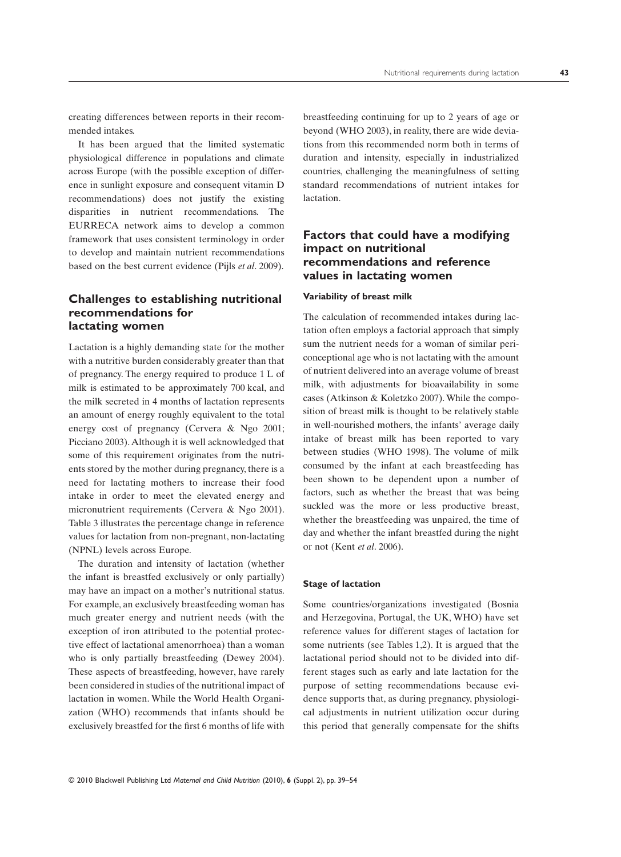creating differences between reports in their recommended intakes.

It has been argued that the limited systematic physiological difference in populations and climate across Europe (with the possible exception of difference in sunlight exposure and consequent vitamin D recommendations) does not justify the existing disparities in nutrient recommendations. The EURRECA network aims to develop a common framework that uses consistent terminology in order to develop and maintain nutrient recommendations based on the best current evidence (Pijls *et al*. 2009).

## **Challenges to establishing nutritional recommendations for lactating women**

Lactation is a highly demanding state for the mother with a nutritive burden considerably greater than that of pregnancy. The energy required to produce 1 L of milk is estimated to be approximately 700 kcal, and the milk secreted in 4 months of lactation represents an amount of energy roughly equivalent to the total energy cost of pregnancy (Cervera & Ngo 2001; Picciano 2003). Although it is well acknowledged that some of this requirement originates from the nutrients stored by the mother during pregnancy, there is a need for lactating mothers to increase their food intake in order to meet the elevated energy and micronutrient requirements (Cervera & Ngo 2001). Table 3 illustrates the percentage change in reference values for lactation from non-pregnant, non-lactating (NPNL) levels across Europe.

The duration and intensity of lactation (whether the infant is breastfed exclusively or only partially) may have an impact on a mother's nutritional status. For example, an exclusively breastfeeding woman has much greater energy and nutrient needs (with the exception of iron attributed to the potential protective effect of lactational amenorrhoea) than a woman who is only partially breastfeeding (Dewey 2004). These aspects of breastfeeding, however, have rarely been considered in studies of the nutritional impact of lactation in women. While the World Health Organization (WHO) recommends that infants should be exclusively breastfed for the first 6 months of life with breastfeeding continuing for up to 2 years of age or beyond (WHO 2003), in reality, there are wide deviations from this recommended norm both in terms of duration and intensity, especially in industrialized countries, challenging the meaningfulness of setting standard recommendations of nutrient intakes for lactation.

## **Factors that could have a modifying impact on nutritional recommendations and reference values in lactating women**

#### **Variability of breast milk**

The calculation of recommended intakes during lactation often employs a factorial approach that simply sum the nutrient needs for a woman of similar periconceptional age who is not lactating with the amount of nutrient delivered into an average volume of breast milk, with adjustments for bioavailability in some cases (Atkinson & Koletzko 2007). While the composition of breast milk is thought to be relatively stable in well-nourished mothers, the infants' average daily intake of breast milk has been reported to vary between studies (WHO 1998). The volume of milk consumed by the infant at each breastfeeding has been shown to be dependent upon a number of factors, such as whether the breast that was being suckled was the more or less productive breast, whether the breastfeeding was unpaired, the time of day and whether the infant breastfed during the night or not (Kent *et al*. 2006).

#### **Stage of lactation**

Some countries/organizations investigated (Bosnia and Herzegovina, Portugal, the UK, WHO) have set reference values for different stages of lactation for some nutrients (see Tables 1,2). It is argued that the lactational period should not to be divided into different stages such as early and late lactation for the purpose of setting recommendations because evidence supports that, as during pregnancy, physiological adjustments in nutrient utilization occur during this period that generally compensate for the shifts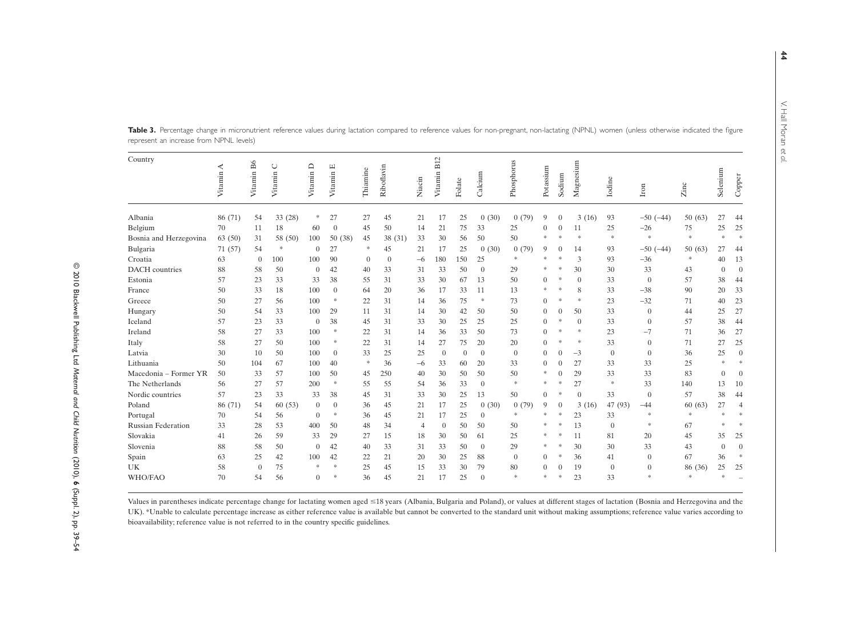| Country                   | ⋖<br>Vitamin | Vitamin B6     | $\cup$<br>Vitamin | Vitamin D                    | Vitamin E                | Thiamine       | Riboflavin     | Niacin         | Vitamin B12    | Folate         | Calcium        | Phosphorus                        | Potassium      | Sodium           | Magnesium      | Iodine                    | $\mathop{\rm Iron}\nolimits$ | Zinc                      | Selenium         | Copper         |
|---------------------------|--------------|----------------|-------------------|------------------------------|--------------------------|----------------|----------------|----------------|----------------|----------------|----------------|-----------------------------------|----------------|------------------|----------------|---------------------------|------------------------------|---------------------------|------------------|----------------|
| Albania                   | 86 (71)      | 54             | 33(28)            | $\mathbf{z}_i^{\mathrm{lc}}$ | 27                       | 27             | 45             | 21             | 17             | 25             | 0(30)          | 0(79)                             | 9              | $\boldsymbol{0}$ | 3(16)          | 93                        | $-50(-44)$                   | 50(63)                    | 27               | 44             |
| Belgium                   | 70           | 11             | 18                | 60                           | $\mathbf{0}$             | 45             | 50             | 14             | 21             | 75             | 33             | 25                                | $\theta$       | $\mathbf{0}$     | 11             | 25                        | $-26$                        | 75                        | 25               | 25             |
| Bosnia and Herzegovina    | 63 (50)      | 31             | 58 (50)           | 100                          | 50(38)                   | 45             | 38(31)         | 33             | 30             | 56             | 50             | 50                                | 宋              | ż                | $\frac{1}{20}$ | $\ensuremath{\mathbf{x}}$ | $\frac{1}{2}$                | $\ensuremath{\mathrm{g}}$ | $\frac{1}{20}$   | s)             |
| Bulgaria                  | 71(57)       | 54             | $\frac{1}{2}$     | $\overline{0}$               | 27                       | *              | 45             | 21             | 17             | 25             | 0(30)          | 0(79)                             | 9              | $\mathbf{0}$     | 14             | 93                        | $-50(-44)$                   | 50(63)                    | 27               | 44             |
| Croatia                   | 63           | $\overline{0}$ | 100               | 100                          | 90                       | $\overline{0}$ | $\overline{0}$ | $-6$           | 180            | 150            | 25             | 家                                 | 宋              | 家                | 3              | 93                        | $-36$                        | 永                         | 40               | 13             |
| <b>DACH</b> countries     | 88           | 58             | 50                | $\mathbf{0}$                 | 42                       | 40             | 33             | 31             | 33             | 50             | $\overline{0}$ | 29                                | *              | 家                | 30             | 30                        | 33                           | 43                        | $\mathbf{0}$     | $\overline{0}$ |
| Estonia                   | 57           | 23             | 33                | 33                           | 38                       | 55             | 31             | 33             | 30             | 67             | 13             | 50                                | $\Omega$       |                  | $\Omega$       | 33                        | $\overline{0}$               | 57                        | 38               | 44             |
| France                    | 50           | 33             | 18                | 100                          | $\Omega$                 | 64             | 20             | 36             | 17             | 33             | 11             | 13                                | 宋              | 家                | 8              | 33                        | $-38$                        | 90                        | 20               | 33             |
| Greece                    | 50           | 27             | 56                | 100                          | $\frac{d\mathbf{r}}{dt}$ | 22             | 31             | 14             | 36             | 75             | $\frac{1}{2}$  | 73                                | $\overline{0}$ | ×,               | 宗              | 23                        | $-32$                        | 71                        | 40               | 23             |
| Hungary                   | 50           | 54             | 33                | 100                          | 29                       | 11             | 31             | 14             | 30             | 42             | 50             | 50                                | $\overline{0}$ | $\Omega$         | 50             | 33                        | $\overline{0}$               | 44                        | 25               | 27             |
| Iceland                   | 57           | 23             | 33                | $\mathbf{0}$                 | 38                       | 45             | 31             | 33             | 30             | 25             | 25             | 25                                | $\overline{0}$ | 宗                | $\Omega$       | 33                        | $\overline{0}$               | 57                        | 38               | 44             |
| Ireland                   | 58           | 27             | 33                | 100                          | *                        | 22             | 31             | 14             | 36             | 33             | 50             | 73                                | $\mathbf{0}$   | ×,               | $\frac{1}{2}$  | 23                        | $-7$                         | 71                        | 36               | 27             |
| Italy                     | 58           | 27             | 50                | 100                          | *                        | 22             | 31             | 14             | 27             | 75             | 20             | 20                                | $\Omega$       | ×,               | $\frac{1}{2}$  | 33                        | $\Omega$                     | 71                        | 27               | 25             |
| Latvia                    | 30           | 10             | 50                | 100                          | $\overline{0}$           | 33             | 25             | 25             | $\overline{0}$ | $\overline{0}$ | $\mathbf{0}$   | $\mathbf{0}$                      | $\overline{0}$ | $\theta$         | $-3$           | $\overline{0}$            | $\overline{0}$               | 36                        | 25               | $\overline{0}$ |
| Lithuania                 | 50           | 104            | 67                | 100                          | 40                       | $\frac{1}{2}$  | 36             | $-6$           | 33             | 60             | 20             | 33                                | $\overline{0}$ | $\Omega$         | 27             | 33                        | 33                           | 25                        | $\frac{1}{20}$   | $\frac{1}{2}$  |
| Macedonia - Former YR     | 50           | 33             | 57                | 100                          | 50                       | 45             | 250            | 40             | 30             | 50             | 50             | 50                                | *              | $\Omega$         | 29             | 33                        | 33                           | 83                        | $\overline{0}$   | $\overline{0}$ |
| The Netherlands           | 56           | 27             | 57                | 200                          | 字                        | 55             | 55             | 54             | 36             | 33             | $\overline{0}$ | $\frac{d\mathbf{x}}{d\mathbf{x}}$ | 宋              | ×,               | 27             | 永                         | 33                           | 140                       | 13               | 10             |
| Nordic countries          | 57           | 23             | 33                | 33                           | 38                       | 45             | 31             | 33             | 30             | 25             | 13             | 50                                | $\Omega$       | 家                | $\Omega$       | 33                        | $\Omega$                     | 57                        | 38               | 44             |
| Poland                    | 86 (71)      | 54             | 60(53)            | $\mathbf{0}$                 | $\overline{0}$           | 36             | 45             | 21             | 17             | 25             | 0(30)          | 0(79)                             | 9              | $\mathbf{0}$     | 3(16)          | 47 (93)                   | $-44$                        | 60(63)                    | 27               | 4              |
| Portugal                  | 70           | 54             | 56                | $\Omega$                     | 字                        | 36             | 45             | 21             | 17             | 25             | $\overline{0}$ | 家                                 | 宋              | ×.               | 23             | 33                        | 永                            | 永                         | $\frac{1}{2\pi}$ | <b>A</b>       |
| <b>Russian Federation</b> | 33           | 28             | 53                | 400                          | 50                       | 48             | 34             | $\overline{4}$ | $\overline{0}$ | 50             | 50             | 50                                | *              |                  | 13             | $\overline{0}$            | $\frac{1}{2} \xi$            | 67                        | 永                | s)             |
| Slovakia                  | 41           | 26             | 59                | 33                           | 29                       | 27             | 15             | 18             | 30             | 50             | 61             | 25                                | *              | 宗                | 11             | 81                        | 20                           | 45                        | 35               | 25             |
| Slovenia                  | 88           | 58             | 50                | $\Omega$                     | 42                       | 40             | 33             | 31             | 33             | 50             | $\overline{0}$ | 29                                | 宋              |                  | 30             | 30                        | 33                           | 43                        | $\overline{0}$   | $\Omega$       |
| Spain                     | 63           | 25             | 42                | 100                          | 42                       | 22             | 21             | 20             | 30             | 25             | 88             | $\mathbf{0}$                      | $\overline{0}$ | 宗                | 36             | 41                        | $\mathbf{0}$                 | 67                        | 36               | 墙              |
| UK                        | 58           | $\theta$       | 75                | 永                            | 字                        | 25             | 45             | 15             | 33             | 30             | 79             | 80                                | $\theta$       | $\mathbf{0}$     | 19             | $\overline{0}$            | $\mathbf{0}$                 | 86 (36)                   | 25               | 25             |
| WHO/FAO                   | 70           | 54             | 56                | $\Omega$                     | 字                        | 36             | 45             | 21             | 17             | 25             | $\Omega$       | $\frac{d\mathbf{x}}{d\mathbf{x}}$ | 宋              | ×,               | 23             | 33                        | 永                            | 永                         | $\frac{1}{2\pi}$ |                |

**Table 3.** Percentage change in micronutrient reference values during lactation compared to reference values for non-pregnant, non-lactating (NPNL) women (unless otherwise indicated the figure represen<sup>t</sup> an increase from NPNL levels)

Values in parentheses indicate percentage change for lactating women aged ≤18 years (Albania, Bulgaria and Poland), or values at different stages of lactation (Bosnia and Herzegovina and the UK). \*Unable to calculate percentage increase as either reference value is available but cannot be converted to the standard unit without making assumptions; reference value varies according to bioavailability; reference value is not referred to in the country specific guidelines.

 $44$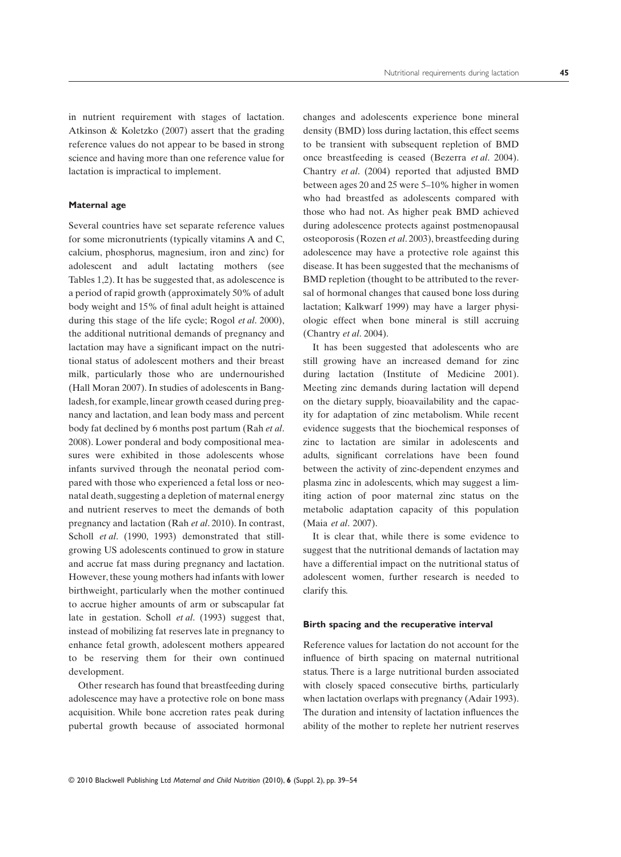in nutrient requirement with stages of lactation. Atkinson & Koletzko (2007) assert that the grading reference values do not appear to be based in strong science and having more than one reference value for lactation is impractical to implement.

#### **Maternal age**

Several countries have set separate reference values for some micronutrients (typically vitamins A and C, calcium, phosphorus, magnesium, iron and zinc) for adolescent and adult lactating mothers (see Tables 1,2). It has be suggested that, as adolescence is a period of rapid growth (approximately 50% of adult body weight and 15% of final adult height is attained during this stage of the life cycle; Rogol *et al*. 2000), the additional nutritional demands of pregnancy and lactation may have a significant impact on the nutritional status of adolescent mothers and their breast milk, particularly those who are undernourished (Hall Moran 2007). In studies of adolescents in Bangladesh, for example, linear growth ceased during pregnancy and lactation, and lean body mass and percent body fat declined by 6 months post partum (Rah *et al*. 2008). Lower ponderal and body compositional measures were exhibited in those adolescents whose infants survived through the neonatal period compared with those who experienced a fetal loss or neonatal death, suggesting a depletion of maternal energy and nutrient reserves to meet the demands of both pregnancy and lactation (Rah *et al*. 2010). In contrast, Scholl *et al*. (1990, 1993) demonstrated that stillgrowing US adolescents continued to grow in stature and accrue fat mass during pregnancy and lactation. However, these young mothers had infants with lower birthweight, particularly when the mother continued to accrue higher amounts of arm or subscapular fat late in gestation. Scholl *et al*. (1993) suggest that, instead of mobilizing fat reserves late in pregnancy to enhance fetal growth, adolescent mothers appeared to be reserving them for their own continued development.

Other research has found that breastfeeding during adolescence may have a protective role on bone mass acquisition. While bone accretion rates peak during pubertal growth because of associated hormonal changes and adolescents experience bone mineral density (BMD) loss during lactation, this effect seems to be transient with subsequent repletion of BMD once breastfeeding is ceased (Bezerra *et al*. 2004). Chantry *et al*. (2004) reported that adjusted BMD between ages 20 and 25 were 5–10% higher in women who had breastfed as adolescents compared with those who had not. As higher peak BMD achieved during adolescence protects against postmenopausal osteoporosis (Rozen *et al*. 2003), breastfeeding during adolescence may have a protective role against this disease. It has been suggested that the mechanisms of BMD repletion (thought to be attributed to the reversal of hormonal changes that caused bone loss during lactation; Kalkwarf 1999) may have a larger physiologic effect when bone mineral is still accruing (Chantry *et al*. 2004).

It has been suggested that adolescents who are still growing have an increased demand for zinc during lactation (Institute of Medicine 2001). Meeting zinc demands during lactation will depend on the dietary supply, bioavailability and the capacity for adaptation of zinc metabolism. While recent evidence suggests that the biochemical responses of zinc to lactation are similar in adolescents and adults, significant correlations have been found between the activity of zinc-dependent enzymes and plasma zinc in adolescents, which may suggest a limiting action of poor maternal zinc status on the metabolic adaptation capacity of this population (Maia *et al*. 2007).

It is clear that, while there is some evidence to suggest that the nutritional demands of lactation may have a differential impact on the nutritional status of adolescent women, further research is needed to clarify this.

#### **Birth spacing and the recuperative interval**

Reference values for lactation do not account for the influence of birth spacing on maternal nutritional status. There is a large nutritional burden associated with closely spaced consecutive births, particularly when lactation overlaps with pregnancy (Adair 1993). The duration and intensity of lactation influences the ability of the mother to replete her nutrient reserves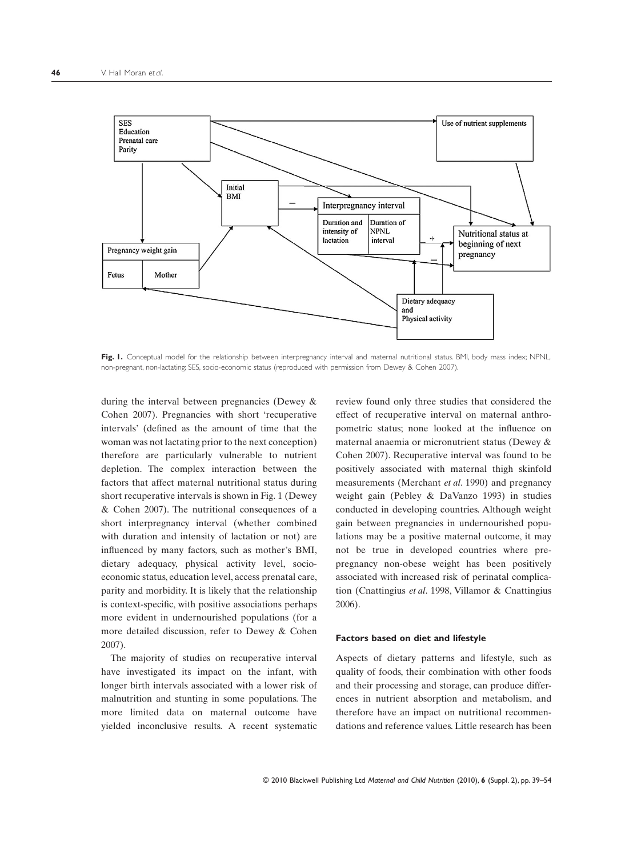

Fig. I. Conceptual model for the relationship between interpregnancy interval and maternal nutritional status. BMI, body mass index; NPNL, non-pregnant, non-lactating; SES, socio-economic status (reproduced with permission from Dewey & Cohen 2007).

during the interval between pregnancies (Dewey & Cohen 2007). Pregnancies with short 'recuperative intervals' (defined as the amount of time that the woman was not lactating prior to the next conception) therefore are particularly vulnerable to nutrient depletion. The complex interaction between the factors that affect maternal nutritional status during short recuperative intervals is shown in Fig. 1 (Dewey & Cohen 2007). The nutritional consequences of a short interpregnancy interval (whether combined with duration and intensity of lactation or not) are influenced by many factors, such as mother's BMI, dietary adequacy, physical activity level, socioeconomic status, education level, access prenatal care, parity and morbidity. It is likely that the relationship is context-specific, with positive associations perhaps more evident in undernourished populations (for a more detailed discussion, refer to Dewey & Cohen 2007).

The majority of studies on recuperative interval have investigated its impact on the infant, with longer birth intervals associated with a lower risk of malnutrition and stunting in some populations. The more limited data on maternal outcome have yielded inconclusive results. A recent systematic

review found only three studies that considered the effect of recuperative interval on maternal anthropometric status; none looked at the influence on maternal anaemia or micronutrient status (Dewey & Cohen 2007). Recuperative interval was found to be positively associated with maternal thigh skinfold measurements (Merchant *et al*. 1990) and pregnancy weight gain (Pebley & DaVanzo 1993) in studies conducted in developing countries. Although weight gain between pregnancies in undernourished populations may be a positive maternal outcome, it may not be true in developed countries where prepregnancy non-obese weight has been positively associated with increased risk of perinatal complication (Cnattingius *et al*. 1998, Villamor & Cnattingius 2006).

#### **Factors based on diet and lifestyle**

Aspects of dietary patterns and lifestyle, such as quality of foods, their combination with other foods and their processing and storage, can produce differences in nutrient absorption and metabolism, and therefore have an impact on nutritional recommendations and reference values. Little research has been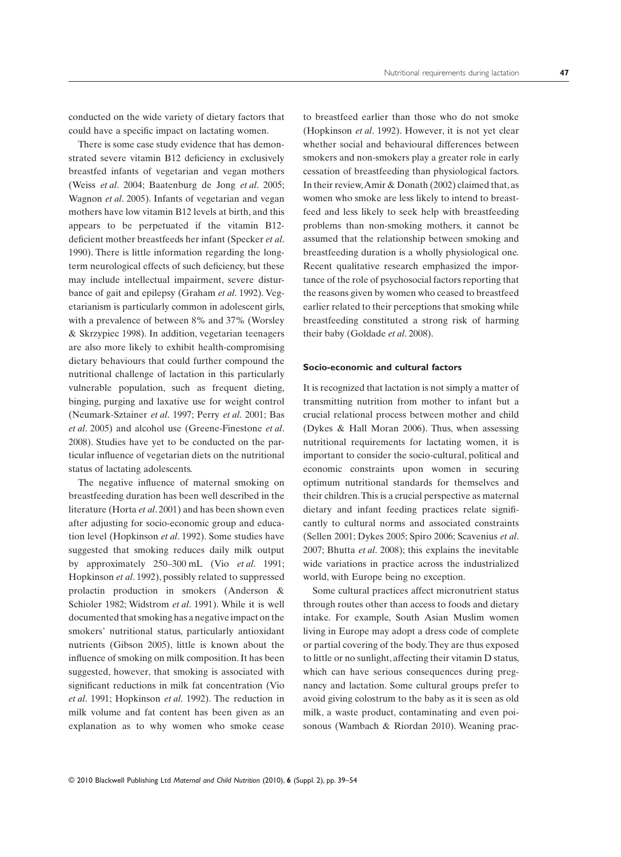conducted on the wide variety of dietary factors that could have a specific impact on lactating women.

There is some case study evidence that has demonstrated severe vitamin B12 deficiency in exclusively breastfed infants of vegetarian and vegan mothers (Weiss *et al*. 2004; Baatenburg de Jong *et al*. 2005; Wagnon *et al*. 2005). Infants of vegetarian and vegan mothers have low vitamin B12 levels at birth, and this appears to be perpetuated if the vitamin B12 deficient mother breastfeeds her infant (Specker *et al*. 1990). There is little information regarding the longterm neurological effects of such deficiency, but these may include intellectual impairment, severe disturbance of gait and epilepsy (Graham *et al*. 1992). Vegetarianism is particularly common in adolescent girls, with a prevalence of between 8% and 37% (Worsley & Skrzypiec 1998). In addition, vegetarian teenagers are also more likely to exhibit health-compromising dietary behaviours that could further compound the nutritional challenge of lactation in this particularly vulnerable population, such as frequent dieting, binging, purging and laxative use for weight control (Neumark-Sztainer *et al*. 1997; Perry *et al*. 2001; Bas *et al*. 2005) and alcohol use (Greene-Finestone *et al*. 2008). Studies have yet to be conducted on the particular influence of vegetarian diets on the nutritional status of lactating adolescents.

The negative influence of maternal smoking on breastfeeding duration has been well described in the literature (Horta *et al*. 2001) and has been shown even after adjusting for socio-economic group and education level (Hopkinson *et al*. 1992). Some studies have suggested that smoking reduces daily milk output by approximately 250–300 mL (Vio *et al*. 1991; Hopkinson *et al*. 1992), possibly related to suppressed prolactin production in smokers (Anderson & Schioler 1982; Widstrom *et al*. 1991). While it is well documented that smoking has a negative impact on the smokers' nutritional status, particularly antioxidant nutrients (Gibson 2005), little is known about the influence of smoking on milk composition. It has been suggested, however, that smoking is associated with significant reductions in milk fat concentration (Vio *et al*. 1991; Hopkinson *et al*. 1992). The reduction in milk volume and fat content has been given as an explanation as to why women who smoke cease

to breastfeed earlier than those who do not smoke (Hopkinson *et al*. 1992). However, it is not yet clear whether social and behavioural differences between smokers and non-smokers play a greater role in early cessation of breastfeeding than physiological factors. In their review,Amir & Donath (2002) claimed that, as women who smoke are less likely to intend to breastfeed and less likely to seek help with breastfeeding problems than non-smoking mothers, it cannot be assumed that the relationship between smoking and breastfeeding duration is a wholly physiological one. Recent qualitative research emphasized the importance of the role of psychosocial factors reporting that the reasons given by women who ceased to breastfeed earlier related to their perceptions that smoking while breastfeeding constituted a strong risk of harming their baby (Goldade *et al*. 2008).

#### **Socio-economic and cultural factors**

It is recognized that lactation is not simply a matter of transmitting nutrition from mother to infant but a crucial relational process between mother and child (Dykes & Hall Moran 2006). Thus, when assessing nutritional requirements for lactating women, it is important to consider the socio-cultural, political and economic constraints upon women in securing optimum nutritional standards for themselves and their children.This is a crucial perspective as maternal dietary and infant feeding practices relate significantly to cultural norms and associated constraints (Sellen 2001; Dykes 2005; Spiro 2006; Scavenius *et al*. 2007; Bhutta *et al*. 2008); this explains the inevitable wide variations in practice across the industrialized world, with Europe being no exception.

Some cultural practices affect micronutrient status through routes other than access to foods and dietary intake. For example, South Asian Muslim women living in Europe may adopt a dress code of complete or partial covering of the body.They are thus exposed to little or no sunlight, affecting their vitamin D status, which can have serious consequences during pregnancy and lactation. Some cultural groups prefer to avoid giving colostrum to the baby as it is seen as old milk, a waste product, contaminating and even poisonous (Wambach & Riordan 2010). Weaning prac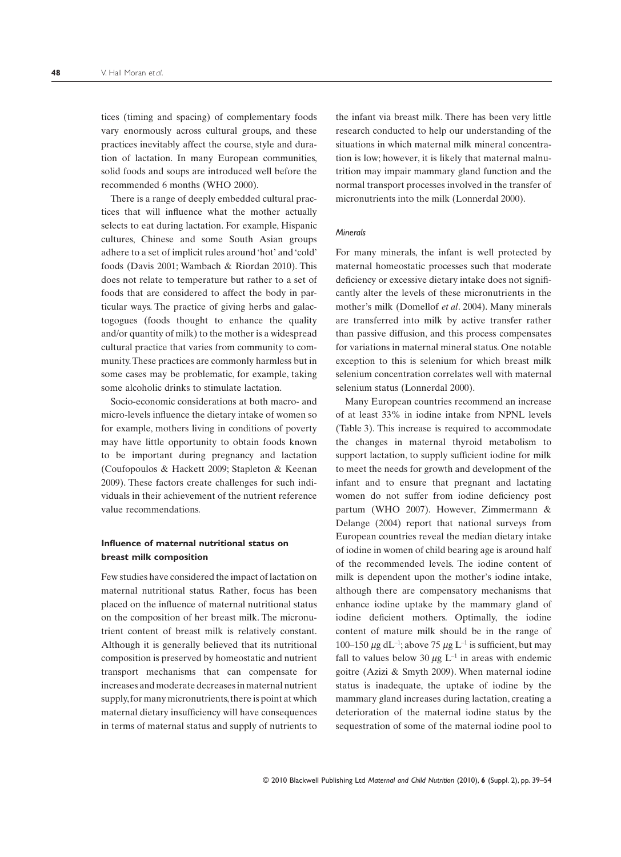tices (timing and spacing) of complementary foods vary enormously across cultural groups, and these practices inevitably affect the course, style and duration of lactation. In many European communities, solid foods and soups are introduced well before the recommended 6 months (WHO 2000).

There is a range of deeply embedded cultural practices that will influence what the mother actually selects to eat during lactation. For example, Hispanic cultures, Chinese and some South Asian groups adhere to a set of implicit rules around 'hot' and 'cold' foods (Davis 2001; Wambach & Riordan 2010). This does not relate to temperature but rather to a set of foods that are considered to affect the body in particular ways. The practice of giving herbs and galactogogues (foods thought to enhance the quality and/or quantity of milk) to the mother is a widespread cultural practice that varies from community to community.These practices are commonly harmless but in some cases may be problematic, for example, taking some alcoholic drinks to stimulate lactation.

Socio-economic considerations at both macro- and micro-levels influence the dietary intake of women so for example, mothers living in conditions of poverty may have little opportunity to obtain foods known to be important during pregnancy and lactation (Coufopoulos & Hackett 2009; Stapleton & Keenan 2009). These factors create challenges for such individuals in their achievement of the nutrient reference value recommendations.

## **Influence of maternal nutritional status on breast milk composition**

Few studies have considered the impact of lactation on maternal nutritional status. Rather, focus has been placed on the influence of maternal nutritional status on the composition of her breast milk. The micronutrient content of breast milk is relatively constant. Although it is generally believed that its nutritional composition is preserved by homeostatic and nutrient transport mechanisms that can compensate for increases and moderate decreases in maternal nutrient supply, for many micronutrients, there is point at which maternal dietary insufficiency will have consequences in terms of maternal status and supply of nutrients to

the infant via breast milk. There has been very little research conducted to help our understanding of the situations in which maternal milk mineral concentration is low; however, it is likely that maternal malnutrition may impair mammary gland function and the normal transport processes involved in the transfer of micronutrients into the milk (Lonnerdal 2000).

#### *Minerals*

For many minerals, the infant is well protected by maternal homeostatic processes such that moderate deficiency or excessive dietary intake does not significantly alter the levels of these micronutrients in the mother's milk (Domellof *et al*. 2004). Many minerals are transferred into milk by active transfer rather than passive diffusion, and this process compensates for variations in maternal mineral status. One notable exception to this is selenium for which breast milk selenium concentration correlates well with maternal selenium status (Lonnerdal 2000).

Many European countries recommend an increase of at least 33% in iodine intake from NPNL levels (Table 3). This increase is required to accommodate the changes in maternal thyroid metabolism to support lactation, to supply sufficient iodine for milk to meet the needs for growth and development of the infant and to ensure that pregnant and lactating women do not suffer from iodine deficiency post partum (WHO 2007). However, Zimmermann & Delange (2004) report that national surveys from European countries reveal the median dietary intake of iodine in women of child bearing age is around half of the recommended levels. The iodine content of milk is dependent upon the mother's iodine intake, although there are compensatory mechanisms that enhance iodine uptake by the mammary gland of iodine deficient mothers. Optimally, the iodine content of mature milk should be in the range of 100–150  $\mu$ g dL<sup>-1</sup>; above 75  $\mu$ g L<sup>-1</sup> is sufficient, but may fall to values below 30  $\mu$ g L<sup>-1</sup> in areas with endemic goitre (Azizi & Smyth 2009). When maternal iodine status is inadequate, the uptake of iodine by the mammary gland increases during lactation, creating a deterioration of the maternal iodine status by the sequestration of some of the maternal iodine pool to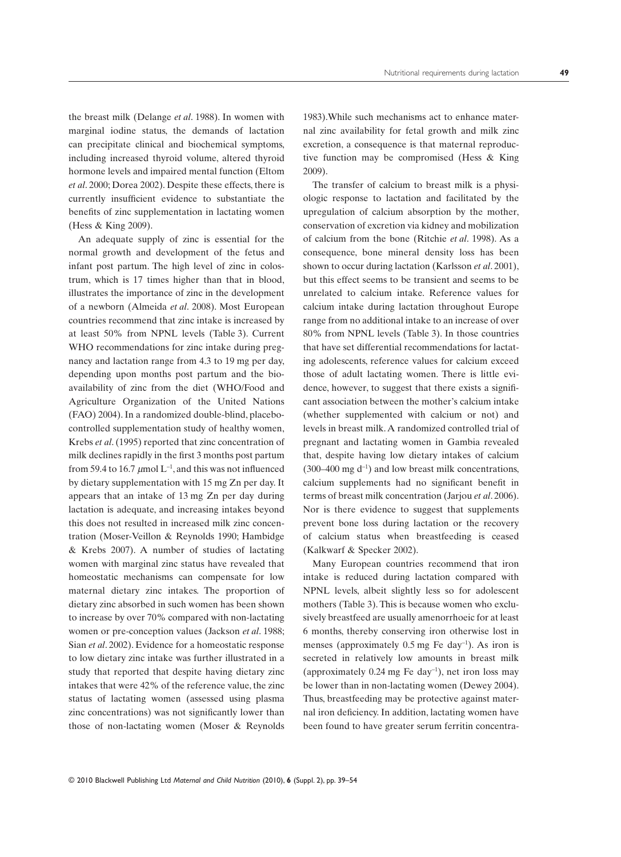the breast milk (Delange *et al*. 1988). In women with marginal iodine status, the demands of lactation can precipitate clinical and biochemical symptoms, including increased thyroid volume, altered thyroid hormone levels and impaired mental function (Eltom *et al*. 2000; Dorea 2002). Despite these effects, there is currently insufficient evidence to substantiate the benefits of zinc supplementation in lactating women (Hess & King 2009).

An adequate supply of zinc is essential for the normal growth and development of the fetus and infant post partum. The high level of zinc in colostrum, which is 17 times higher than that in blood, illustrates the importance of zinc in the development of a newborn (Almeida *et al*. 2008). Most European countries recommend that zinc intake is increased by at least 50% from NPNL levels (Table 3). Current WHO recommendations for zinc intake during pregnancy and lactation range from 4.3 to 19 mg per day, depending upon months post partum and the bioavailability of zinc from the diet (WHO/Food and Agriculture Organization of the United Nations (FAO) 2004). In a randomized double-blind, placebocontrolled supplementation study of healthy women, Krebs *et al*. (1995) reported that zinc concentration of milk declines rapidly in the first 3 months post partum from 59.4 to 16.7  $\mu$ mol L<sup>-1</sup>, and this was not influenced by dietary supplementation with 15 mg Zn per day. It appears that an intake of 13 mg Zn per day during lactation is adequate, and increasing intakes beyond this does not resulted in increased milk zinc concentration (Moser-Veillon & Reynolds 1990; Hambidge & Krebs 2007). A number of studies of lactating women with marginal zinc status have revealed that homeostatic mechanisms can compensate for low maternal dietary zinc intakes. The proportion of dietary zinc absorbed in such women has been shown to increase by over 70% compared with non-lactating women or pre-conception values (Jackson *et al*. 1988; Sian *et al*. 2002). Evidence for a homeostatic response to low dietary zinc intake was further illustrated in a study that reported that despite having dietary zinc intakes that were 42% of the reference value, the zinc status of lactating women (assessed using plasma zinc concentrations) was not significantly lower than those of non-lactating women (Moser & Reynolds

1983).While such mechanisms act to enhance maternal zinc availability for fetal growth and milk zinc excretion, a consequence is that maternal reproductive function may be compromised (Hess & King 2009).

The transfer of calcium to breast milk is a physiologic response to lactation and facilitated by the upregulation of calcium absorption by the mother, conservation of excretion via kidney and mobilization of calcium from the bone (Ritchie *et al*. 1998). As a consequence, bone mineral density loss has been shown to occur during lactation (Karlsson *et al*. 2001), but this effect seems to be transient and seems to be unrelated to calcium intake. Reference values for calcium intake during lactation throughout Europe range from no additional intake to an increase of over 80% from NPNL levels (Table 3). In those countries that have set differential recommendations for lactating adolescents, reference values for calcium exceed those of adult lactating women. There is little evidence, however, to suggest that there exists a significant association between the mother's calcium intake (whether supplemented with calcium or not) and levels in breast milk. A randomized controlled trial of pregnant and lactating women in Gambia revealed that, despite having low dietary intakes of calcium  $(300-400 \text{ mg d}^{-1})$  and low breast milk concentrations, calcium supplements had no significant benefit in terms of breast milk concentration (Jarjou *et al*. 2006). Nor is there evidence to suggest that supplements prevent bone loss during lactation or the recovery of calcium status when breastfeeding is ceased (Kalkwarf & Specker 2002).

Many European countries recommend that iron intake is reduced during lactation compared with NPNL levels, albeit slightly less so for adolescent mothers (Table 3). This is because women who exclusively breastfeed are usually amenorrhoeic for at least 6 months, thereby conserving iron otherwise lost in menses (approximately  $0.5 \text{ mg}$  Fe day<sup>-1</sup>). As iron is secreted in relatively low amounts in breast milk (approximately 0.24 mg Fe day-<sup>1</sup> ), net iron loss may be lower than in non-lactating women (Dewey 2004). Thus, breastfeeding may be protective against maternal iron deficiency. In addition, lactating women have been found to have greater serum ferritin concentra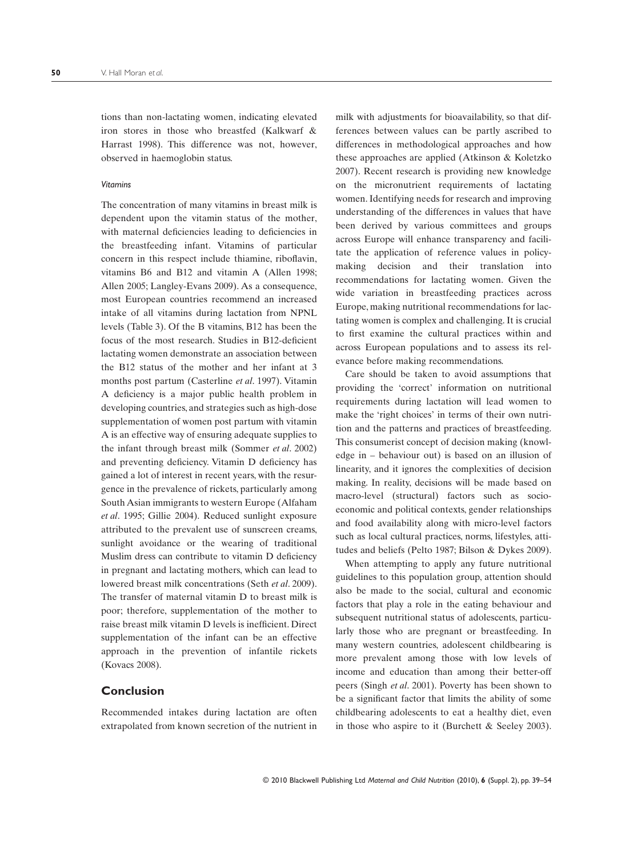tions than non-lactating women, indicating elevated iron stores in those who breastfed (Kalkwarf & Harrast 1998). This difference was not, however, observed in haemoglobin status.

#### *Vitamins*

The concentration of many vitamins in breast milk is dependent upon the vitamin status of the mother, with maternal deficiencies leading to deficiencies in the breastfeeding infant. Vitamins of particular concern in this respect include thiamine, riboflavin, vitamins B6 and B12 and vitamin A (Allen 1998; Allen 2005; Langley-Evans 2009). As a consequence, most European countries recommend an increased intake of all vitamins during lactation from NPNL levels (Table 3). Of the B vitamins, B12 has been the focus of the most research. Studies in B12-deficient lactating women demonstrate an association between the B12 status of the mother and her infant at 3 months post partum (Casterline *et al*. 1997). Vitamin A deficiency is a major public health problem in developing countries, and strategies such as high-dose supplementation of women post partum with vitamin A is an effective way of ensuring adequate supplies to the infant through breast milk (Sommer *et al*. 2002) and preventing deficiency. Vitamin D deficiency has gained a lot of interest in recent years, with the resurgence in the prevalence of rickets, particularly among South Asian immigrants to western Europe (Alfaham *et al*. 1995; Gillie 2004). Reduced sunlight exposure attributed to the prevalent use of sunscreen creams, sunlight avoidance or the wearing of traditional Muslim dress can contribute to vitamin D deficiency in pregnant and lactating mothers, which can lead to lowered breast milk concentrations (Seth *et al*. 2009). The transfer of maternal vitamin D to breast milk is poor; therefore, supplementation of the mother to raise breast milk vitamin D levels is inefficient. Direct supplementation of the infant can be an effective approach in the prevention of infantile rickets (Kovacs 2008).

## **Conclusion**

Recommended intakes during lactation are often extrapolated from known secretion of the nutrient in

milk with adjustments for bioavailability, so that differences between values can be partly ascribed to differences in methodological approaches and how these approaches are applied (Atkinson & Koletzko 2007). Recent research is providing new knowledge on the micronutrient requirements of lactating women. Identifying needs for research and improving understanding of the differences in values that have been derived by various committees and groups across Europe will enhance transparency and facilitate the application of reference values in policymaking decision and their translation into recommendations for lactating women. Given the wide variation in breastfeeding practices across Europe, making nutritional recommendations for lactating women is complex and challenging. It is crucial to first examine the cultural practices within and across European populations and to assess its relevance before making recommendations.

Care should be taken to avoid assumptions that providing the 'correct' information on nutritional requirements during lactation will lead women to make the 'right choices' in terms of their own nutrition and the patterns and practices of breastfeeding. This consumerist concept of decision making (knowledge in – behaviour out) is based on an illusion of linearity, and it ignores the complexities of decision making. In reality, decisions will be made based on macro-level (structural) factors such as socioeconomic and political contexts, gender relationships and food availability along with micro-level factors such as local cultural practices, norms, lifestyles, attitudes and beliefs (Pelto 1987; Bilson & Dykes 2009).

When attempting to apply any future nutritional guidelines to this population group, attention should also be made to the social, cultural and economic factors that play a role in the eating behaviour and subsequent nutritional status of adolescents, particularly those who are pregnant or breastfeeding. In many western countries, adolescent childbearing is more prevalent among those with low levels of income and education than among their better-off peers (Singh *et al*. 2001). Poverty has been shown to be a significant factor that limits the ability of some childbearing adolescents to eat a healthy diet, even in those who aspire to it (Burchett & Seeley 2003).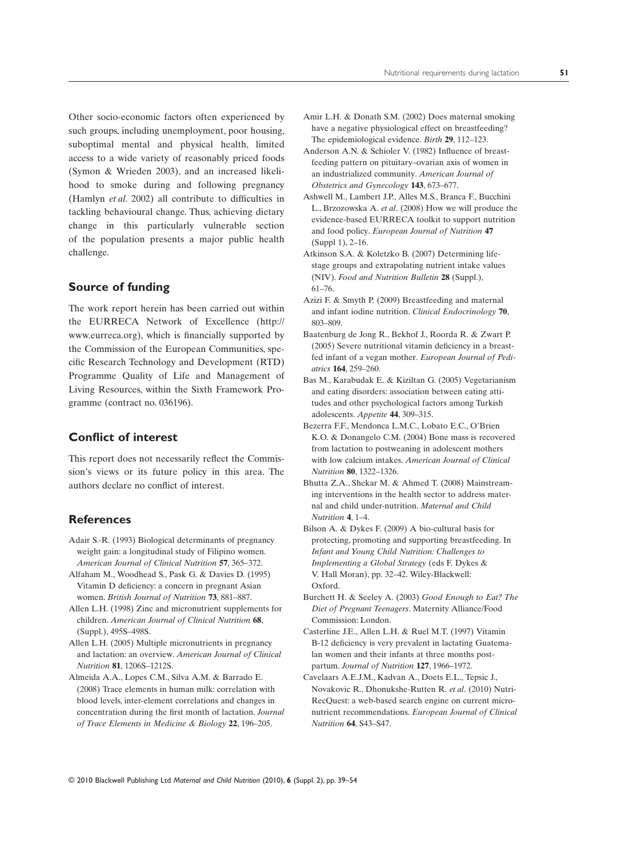Other socio-economic factors often experienced by such groups, including unemployment, poor housing, suboptimal mental and physical health, limited access to a wide variety of reasonably priced foods (Symon & Wrieden 2003), and an increased likelihood to smoke during and following pregnancy (Hamlyn *et al*. 2002) all contribute to difficulties in tackling behavioural change. Thus, achieving dietary change in this particularly vulnerable section of the population presents a major public health challenge.

## **Source of funding**

The work report herein has been carried out within the EURRECA Network of Excellence (http:// www.eurreca.org), which is financially supported by the Commission of the European Communities, specific Research Technology and Development (RTD) Programme Quality of Life and Management of Living Resources, within the Sixth Framework Programme (contract no. 036196).

## **Conflict of interest**

This report does not necessarily reflect the Commission's views or its future policy in this area. The authors declare no conflict of interest.

#### **References**

- Adair S.-R. (1993) Biological determinants of pregnancy weight gain: a longitudinal study of Filipino women. *American Journal of Clinical Nutrition* **57**, 365–372.
- Alfaham M., Woodhead S., Pask G. & Davies D. (1995) Vitamin D deficiency: a concern in pregnant Asian women. *British Journal of Nutrition* **73**, 881–887.
- Allen L.H. (1998) Zinc and micronutrient supplements for children. *American Journal of Clinical Nutrition* **68**, (Suppl.), 495S–498S.
- Allen L.H. (2005) Multiple micronutrients in pregnancy and lactation: an overview. *American Journal of Clinical Nutrition* **81**, 1206S–1212S.
- Almeida A.A., Lopes C.M., Silva A.M. & Barrado E. (2008) Trace elements in human milk: correlation with blood levels, inter-element correlations and changes in concentration during the first month of lactation. *Journal of Trace Elements in Medicine & Biology* **22**, 196–205.
- Amir L.H. & Donath S.M. (2002) Does maternal smoking have a negative physiological effect on breastfeeding? The epidemiological evidence. *Birth* **29**, 112–123.
- Anderson A.N. & Schioler V. (1982) Influence of breastfeeding pattern on pituitary–ovarian axis of women in an industrialized community. *American Journal of Obstetrics and Gynecology* **143**, 673–677.
- Ashwell M., Lambert J.P., Alles M.S., Branca F., Bucchini L., Brzozowska A. *et al*. (2008) How we will produce the evidence-based EURRECA toolkit to support nutrition and food policy. *European Journal of Nutrition* **47** (Suppl 1), 2–16.
- Atkinson S.A. & Koletzko B. (2007) Determining lifestage groups and extrapolating nutrient intake values (NIV). *Food and Nutrition Bulletin* **28** (Suppl.), 61–76.
- Azizi F. & Smyth P. (2009) Breastfeeding and maternal and infant iodine nutrition. *Clinical Endocrinology* **70**, 803–809.
- Baatenburg de Jong R., Bekhof J., Roorda R. & Zwart P. (2005) Severe nutritional vitamin deficiency in a breastfed infant of a vegan mother. *European Journal of Pediatrics* **164**, 259–260.
- Bas M., Karabudak E. & Kiziltan G. (2005) Vegetarianism and eating disorders: association between eating attitudes and other psychological factors among Turkish adolescents. *Appetite* **44**, 309–315.
- Bezerra F.F., Mendonca L.M.C., Lobato E.C., O'Brien K.O. & Donangelo C.M. (2004) Bone mass is recovered from lactation to postweaning in adolescent mothers with low calcium intakes. *American Journal of Clinical Nutrition* **80**, 1322–1326.
- Bhutta Z.A., Shekar M. & Ahmed T. (2008) Mainstreaming interventions in the health sector to address maternal and child under-nutrition. *Maternal and Child Nutrition* **4**, 1–4.
- Bilson A. & Dykes F. (2009) A bio-cultural basis for protecting, promoting and supporting breastfeeding. In *Infant and Young Child Nutrition: Challenges to Implementing a Global Strategy* (eds F. Dykes & V. Hall Moran), pp. 32–42. Wiley-Blackwell: Oxford.
- Burchett H. & Seeley A. (2003) *Good Enough to Eat? The Diet of Pregnant Teenagers*. Maternity Alliance/Food Commission: London.
- Casterline J.E., Allen L.H. & Ruel M.T. (1997) Vitamin B-12 deficiency is very prevalent in lactating Guatemalan women and their infants at three months postpartum. *Journal of Nutrition* **127**, 1966–1972.
- Cavelaars A.E.J.M., Kadvan A., Doets E.L., Tepsic J., Novakovic R., Dhonukshe-Rutten R. *et al*. (2010) Nutri-RecQuest: a web-based search engine on current micronutrient recommendations. *European Journal of Clinical Nutrition* **64**, S43–S47.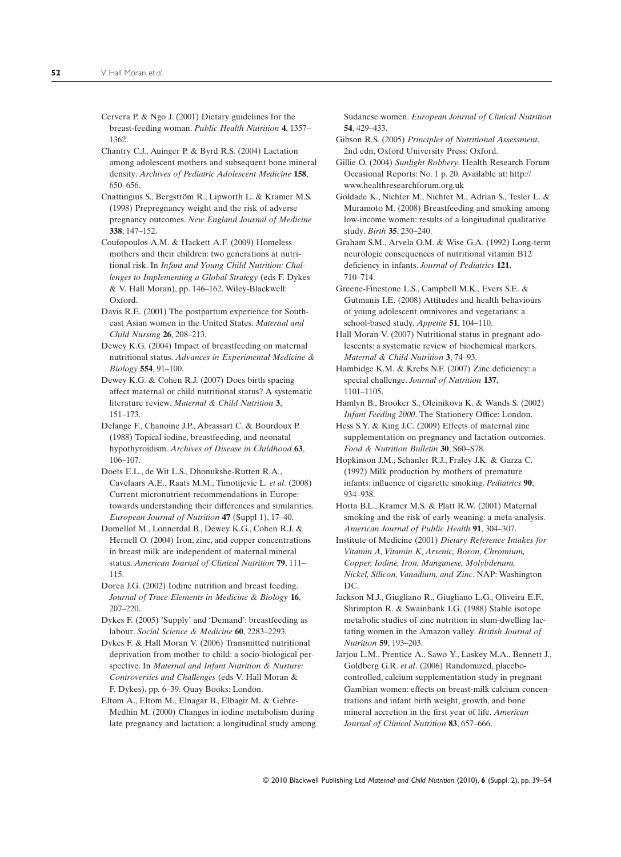Cervera P. & Ngo J. (2001) Dietary guidelines for the breast-feeding woman. *Public Health Nutrition* **4**, 1357– 1362.

Chantry C.J., Auinger P. & Byrd R.S. (2004) Lactation among adolescent mothers and subsequent bone mineral density. *Archives of Pediatric Adolescent Medicine* **158**, 650–656.

Cnattingius S., Bergström R., Lipworth L. & Kramer M.S. (1998) Prepregnancy weight and the risk of adverse pregnancy outcomes. *New England Journal of Medicine* **338**, 147–152.

Coufopoulos A.M. & Hackett A.F. (2009) Homeless mothers and their children: two generations at nutritional risk. In *Infant and Young Child Nutrition: Challenges to Implementing a Global Strategy* (eds F. Dykes & V. Hall Moran), pp. 146–162. Wiley-Blackwell: Oxford.

Davis R.E. (2001) The postpartum experience for Southeast Asian women in the United States. *Maternal and Child Nursing* **26**, 208–213.

Dewey K.G. (2004) Impact of breastfeeding on maternal nutritional status. *Advances in Experimental Medicine & Biology* **554**, 91–100.

Dewey K.G. & Cohen R.J. (2007) Does birth spacing affect maternal or child nutritional status? A systematic literature review. *Maternal & Child Nutrition* **3**, 151–173.

Delange F., Chanoine J.P., Abrassart C. & Bourdoux P. (1988) Topical iodine, breastfeeding, and neonatal hypothyroidism. *Archives of Disease in Childhood* **63**, 106–107.

Doets E.L., de Wit L.S., Dhonukshe-Rutten R.A., Cavelaars A.E., Raats M.M., Timotijevic L. *et al*. (2008) Current micronutrient recommendations in Europe: towards understanding their differences and similarities. *European Journal of Nutrition* **47** (Suppl 1), 17–40.

Domellof M., Lonnerdal B., Dewey K.G., Cohen R.J. & Hernell O. (2004) Iron, zinc, and copper concentrations in breast milk are independent of maternal mineral status. *American Journal of Clinical Nutrition* **79**, 111– 115.

Dorea J.G. (2002) Iodine nutrition and breast feeding. *Journal of Trace Elements in Medicine & Biology* **16**, 207–220.

Dykes F. (2005) 'Supply' and 'Demand': breastfeeding as labour. *Social Science & Medicine* **60**, 2283–2293.

Dykes F. & Hall Moran V. (2006) Transmitted nutritional deprivation from mother to child: a socio-biological perspective. In *Maternal and Infant Nutrition & Nurture: Controversies and Challenges* (eds V. Hall Moran & F. Dykes), pp. 6–39. Quay Books: London.

Eltom A., Eltom M., Elnagar B., Elbagir M. & Gebre-Medhin M. (2000) Changes in iodine metabolism during late pregnancy and lactation: a longitudinal study among Sudanese women. *European Journal of Clinical Nutrition* **54**, 429–433.

- Gibson R.S. (2005) *Principles of Nutritional Assessment*, 2nd edn, Oxford University Press: Oxford.
- Gillie O. (2004) *Sunlight Robbery*. Health Research Forum Occasional Reports: No. 1 p. 20. Available at: http:// www.healthresearchforum.org.uk
- Goldade K., Nichter M., Nichter M., Adrian S., Tesler L. & Muramoto M. (2008) Breastfeeding and smoking among low-income women: results of a longitudinal qualitative study. *Birth* **35**, 230–240.

Graham S.M., Arvela O.M. & Wise G.A. (1992) Long-term neurologic consequences of nutritional vitamin B12 deficiency in infants. *Journal of Pediatrics* **121**, 710–714.

Greene-Finestone L.S., Campbell M.K., Evers S.E. & Gutmanis I.E. (2008) Attitudes and health behaviours of young adolescent omnivores and vegetarians: a school-based study. *Appetite* **51**, 104–110.

Hall Moran V. (2007) Nutritional status in pregnant adolescents: a systematic review of biochemical markers. *Maternal & Child Nutrition* **3**, 74–93.

Hambidge K.M. & Krebs N.F. (2007) Zinc deficiency: a special challenge. *Journal of Nutrition* **137**, 1101–1105.

Hamlyn B., Brooker S., Oleinikova K. & Wands S. (2002) *Infant Feeding 2000*. The Stationery Office: London.

Hess S.Y. & King J.C. (2009) Effects of maternal zinc supplementation on pregnancy and lactation outcomes. *Food & Nutrition Bulletin* **30**, S60–S78.

Hopkinson J.M., Schanler R.J., Fraley J.K. & Garza C. (1992) Milk production by mothers of premature infants: influence of cigarette smoking. *Pediatrics* **90**, 934–938.

Horta B.L., Kramer M.S. & Platt R.W. (2001) Maternal smoking and the risk of early weaning: a meta-analysis. *American Journal of Public Health* **91**, 304–307.

Institute of Medicine (2001) *Dietary Reference Intakes for Vitamin A, Vitamin K, Arsenic, Boron, Chromium, Copper, Iodine, Iron, Manganese, Molybdenum, Nickel, Silicon, Vanadium, and Zinc*. NAP: Washington DC.

Jackson M.J., Giugliano R., Giugliano L.G., Oliveira E.F., Shrimpton R. & Swainbank I.G. (1988) Stable isotope metabolic studies of zinc nutrition in slum-dwelling lactating women in the Amazon valley. *British Journal of Nutrition* **59**, 193–203.

Jarjou L.M., Prentice A., Sawo Y., Laskey M.A., Bennett J., Goldberg G.R. *et al*. (2006) Randomized, placebocontrolled, calcium supplementation study in pregnant Gambian women: effects on breast-milk calcium concentrations and infant birth weight, growth, and bone mineral accretion in the first year of life. *American Journal of Clinical Nutrition* **83**, 657–666.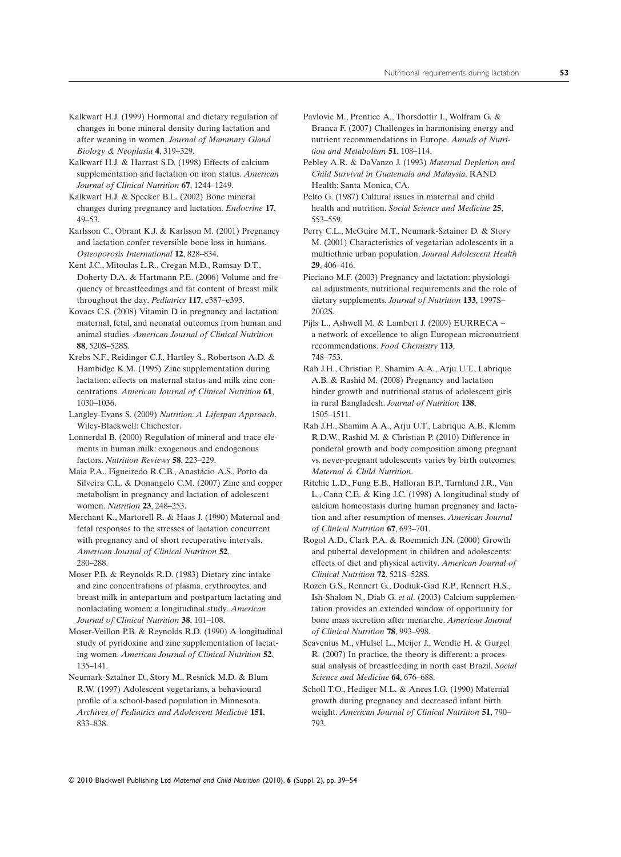- Kalkwarf H.J. (1999) Hormonal and dietary regulation of changes in bone mineral density during lactation and after weaning in women. *Journal of Mammary Gland Biology & Neoplasia* **4**, 319–329.
- Kalkwarf H.J. & Harrast S.D. (1998) Effects of calcium supplementation and lactation on iron status. *American Journal of Clinical Nutrition* **67**, 1244–1249.
- Kalkwarf H.J. & Specker B.L. (2002) Bone mineral changes during pregnancy and lactation. *Endocrine* **17**, 49–53.
- Karlsson C., Obrant K.J. & Karlsson M. (2001) Pregnancy and lactation confer reversible bone loss in humans. *Osteoporosis International* **12**, 828–834.
- Kent J.C., Mitoulas L.R., Cregan M.D., Ramsay D.T., Doherty D.A. & Hartmann P.E. (2006) Volume and frequency of breastfeedings and fat content of breast milk throughout the day. *Pediatrics* **117**, e387–e395.
- Kovacs C.S. (2008) Vitamin D in pregnancy and lactation: maternal, fetal, and neonatal outcomes from human and animal studies. *American Journal of Clinical Nutrition* **88**, 520S–528S.
- Krebs N.F., Reidinger C.J., Hartley S., Robertson A.D. & Hambidge K.M. (1995) Zinc supplementation during lactation: effects on maternal status and milk zinc concentrations. *American Journal of Clinical Nutrition* **61**, 1030–1036.
- Langley-Evans S. (2009) *Nutrition: A Lifespan Approach*. Wiley-Blackwell: Chichester.
- Lonnerdal B. (2000) Regulation of mineral and trace elements in human milk: exogenous and endogenous factors. *Nutrition Reviews* **58**, 223–229.
- Maia P.A., Figueiredo R.C.B., Anastácio A.S., Porto da Silveira C.L. & Donangelo C.M. (2007) Zinc and copper metabolism in pregnancy and lactation of adolescent women. *Nutrition* **23**, 248–253.
- Merchant K., Martorell R. & Haas J. (1990) Maternal and fetal responses to the stresses of lactation concurrent with pregnancy and of short recuperative intervals. *American Journal of Clinical Nutrition* **52**, 280–288.
- Moser P.B. & Reynolds R.D. (1983) Dietary zinc intake and zinc concentrations of plasma, erythrocytes, and breast milk in antepartum and postpartum lactating and nonlactating women: a longitudinal study. *American Journal of Clinical Nutrition* **38**, 101–108.
- Moser-Veillon P.B. & Reynolds R.D. (1990) A longitudinal study of pyridoxine and zinc supplementation of lactating women. *American Journal of Clinical Nutrition* **52**, 135–141.
- Neumark-Sztainer D., Story M., Resnick M.D. & Blum R.W. (1997) Adolescent vegetarians, a behavioural profile of a school-based population in Minnesota. *Archives of Pediatrics and Adolescent Medicine* **151**, 833–838.
- Pavlovic M., Prentice A., Thorsdottir I., Wolfram G. & Branca F. (2007) Challenges in harmonising energy and nutrient recommendations in Europe. *Annals of Nutrition and Metabolism* **51**, 108–114.
- Pebley A.R. & DaVanzo J. (1993) *Maternal Depletion and Child Survival in Guatemala and Malaysia*. RAND Health: Santa Monica, CA.
- Pelto G. (1987) Cultural issues in maternal and child health and nutrition. *Social Science and Medicine* **25**, 553–559.
- Perry C.L., McGuire M.T., Neumark-Sztainer D. & Story M. (2001) Characteristics of vegetarian adolescents in a multiethnic urban population. *Journal Adolescent Health* **29**, 406–416.
- Picciano M.F. (2003) Pregnancy and lactation: physiological adjustments, nutritional requirements and the role of dietary supplements. *Journal of Nutrition* **133**, 1997S– 2002S.
- Pijls L., Ashwell M. & Lambert J. (2009) EURRECA a network of excellence to align European micronutrient recommendations. *Food Chemistry* **113**, 748–753.
- Rah J.H., Christian P., Shamim A.A., Arju U.T., Labrique A.B. & Rashid M. (2008) Pregnancy and lactation hinder growth and nutritional status of adolescent girls in rural Bangladesh. *Journal of Nutrition* **138**, 1505–1511.
- Rah J.H., Shamim A.A., Arju U.T., Labrique A.B., Klemm R.D.W., Rashid M. & Christian P. (2010) Difference in ponderal growth and body composition among pregnant vs. never-pregnant adolescents varies by birth outcomes. *Maternal & Child Nutrition*.
- Ritchie L.D., Fung E.B., Halloran B.P., Turnlund J.R., Van L., Cann C.E. & King J.C. (1998) A longitudinal study of calcium homeostasis during human pregnancy and lactation and after resumption of menses. *American Journal of Clinical Nutrition* **67**, 693–701.
- Rogol A.D., Clark P.A. & Roemmich J.N. (2000) Growth and pubertal development in children and adolescents: effects of diet and physical activity. *American Journal of Clinical Nutrition* **72**, 521S–528S.
- Rozen G.S., Rennert G., Dodiuk-Gad R.P., Rennert H.S., Ish-Shalom N., Diab G. *et al*. (2003) Calcium supplementation provides an extended window of opportunity for bone mass accretion after menarche. *American Journal of Clinical Nutrition* **78**, 993–998.
- Scavenius M., vHulsel L., Meijer J., Wendte H. & Gurgel R. (2007) In practice, the theory is different: a processual analysis of breastfeeding in north east Brazil. *Social Science and Medicine* **64**, 676–688.
- Scholl T.O., Hediger M.L. & Ances I.G. (1990) Maternal growth during pregnancy and decreased infant birth weight. *American Journal of Clinical Nutrition* **51**, 790– 793.